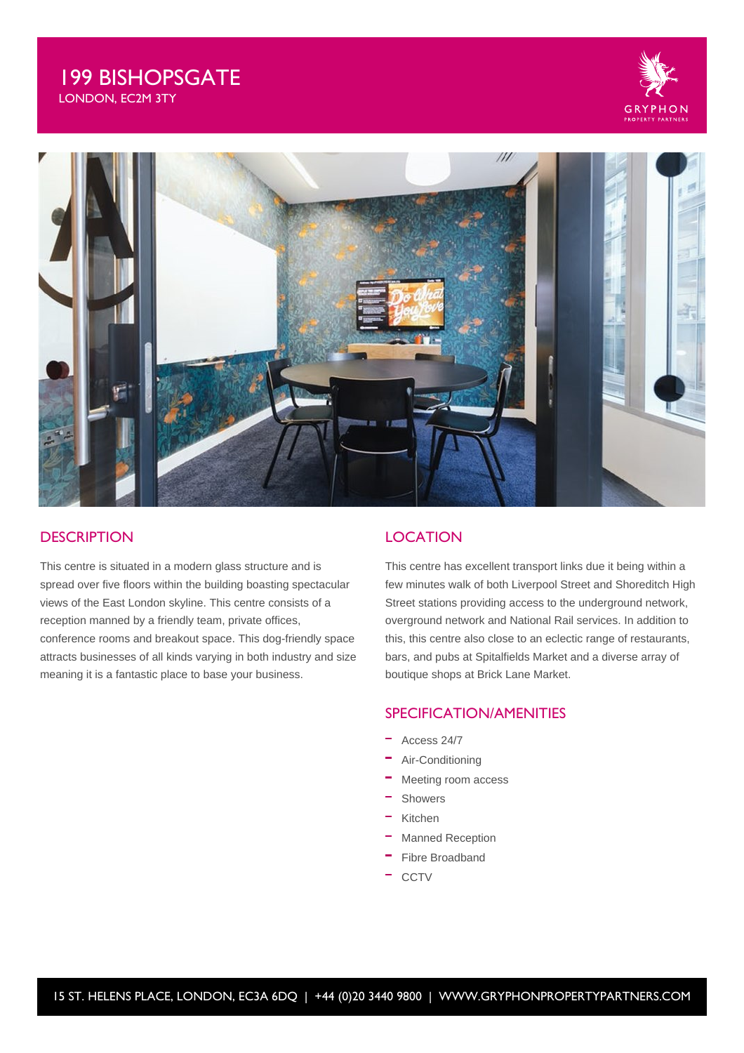# 199 BISHOPSGATE LONDON, EC2M 3TY





## **DESCRIPTION**

This centre is situated in a modern glass structure and is spread over five floors within the building boasting spectacular views of the East London skyline. This centre consists of a reception manned by a friendly team, private offices, conference rooms and breakout space. This dog-friendly space attracts businesses of all kinds varying in both industry and size meaning it is a fantastic place to base your business.

### **LOCATION**

This centre has excellent transport links due it being within a few minutes walk of both Liverpool Street and Shoreditch High Street stations providing access to the underground network, overground network and National Rail services. In addition to this, this centre also close to an eclectic range of restaurants, bars, and pubs at Spitalfields Market and a diverse array of boutique shops at Brick Lane Market.

### SPECIFICATION/AMENITIES

- Access 24/7
- Air-Conditioning
- Meeting room access
- Showers
- $\equiv$ Kitchen
- Manned Reception
- Fibre Broadband
- **CCTV**